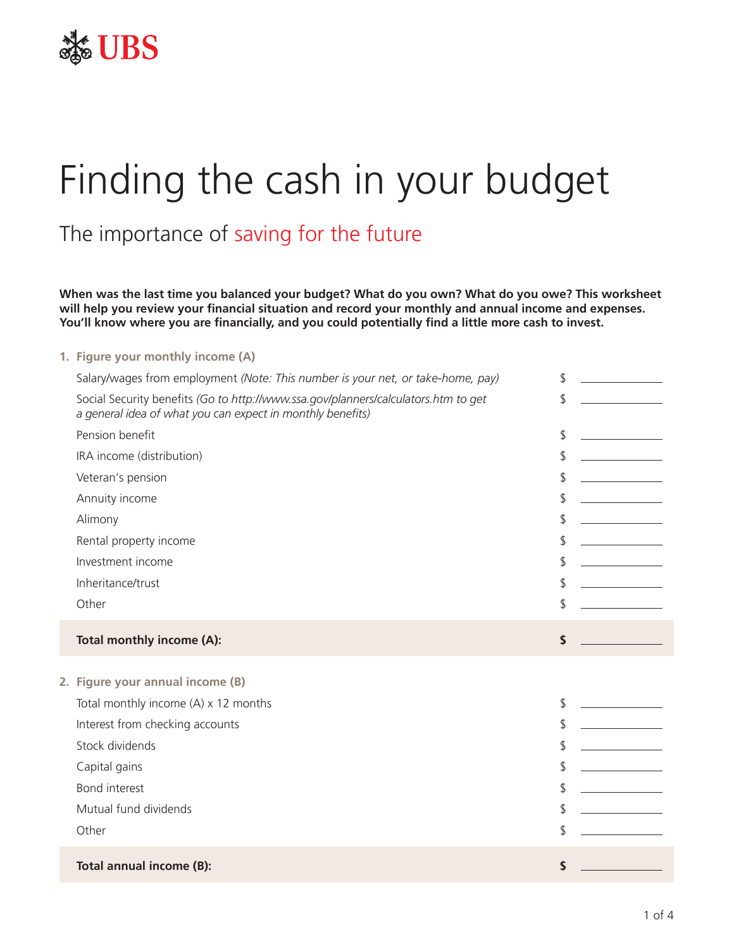

# Finding the cash in your budget

## The importance of saving for the future

**When was the last time you balanced your budget? What do you own? What do you owe? This worksheet will help you review your financial situation and record your monthly and annual income and expenses. You'll know where you are financially, and you could potentially find a little more cash to invest.**

#### **1. Figure your monthly income (A)**

| Salary/wages from employment (Note: This number is your net, or take-home, pay)                                                                  | \$ |
|--------------------------------------------------------------------------------------------------------------------------------------------------|----|
| Social Security benefits (Go to http://www.ssa.gov/planners/calculators.htm to get<br>a general idea of what you can expect in monthly benefits) | \$ |
| Pension benefit                                                                                                                                  | \$ |
| IRA income (distribution)                                                                                                                        | \$ |
| Veteran's pension                                                                                                                                | \$ |
| Annuity income                                                                                                                                   | \$ |
| Alimony                                                                                                                                          | \$ |
| Rental property income                                                                                                                           | \$ |
| Investment income                                                                                                                                | \$ |
| Inheritance/trust                                                                                                                                | \$ |
| Other                                                                                                                                            | \$ |
|                                                                                                                                                  |    |
| Total monthly income (A):                                                                                                                        | \$ |
|                                                                                                                                                  |    |
| 2. Figure your annual income (B)<br>Total monthly income (A) x 12 months                                                                         | \$ |
| Interest from checking accounts                                                                                                                  | \$ |
| Stock dividends                                                                                                                                  | \$ |
| Capital gains                                                                                                                                    | \$ |
| Bond interest                                                                                                                                    | \$ |
| Mutual fund dividends                                                                                                                            | \$ |
| Other                                                                                                                                            |    |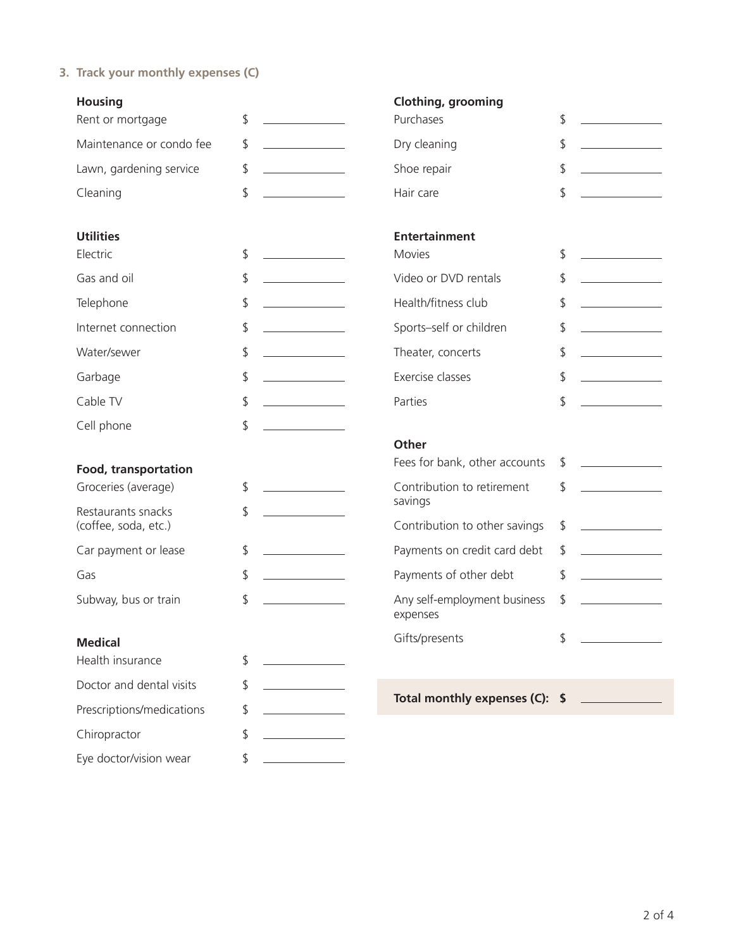**3. Track your monthly expenses (C)**

| <b>Housing</b>                             |                                                    | <b>Clothing, grooming</b>                |                                          |
|--------------------------------------------|----------------------------------------------------|------------------------------------------|------------------------------------------|
| Rent or mortgage                           | \$                                                 | Purchases                                | $\frac{1}{2}$                            |
| Maintenance or condo fee                   | \$                                                 | Dry cleaning                             | $\sqrt{2}$                               |
| Lawn, gardening service                    | \$<br><u> 1990 - Jan Barnett, politik e</u>        | Shoe repair                              | $\frac{1}{2}$                            |
| Cleaning                                   | \$                                                 | Hair care                                | $\mathfrak{D}$                           |
| <b>Utilities</b>                           |                                                    | <b>Entertainment</b>                     |                                          |
| Electric                                   | \$                                                 | <b>Movies</b>                            | $\frac{1}{2}$                            |
| Gas and oil                                | \$<br><u> 1990 - Jan Barnett, fransk politiker</u> | Video or DVD rentals                     | \$                                       |
| Telephone                                  | \$                                                 | Health/fitness club                      | \$                                       |
| Internet connection                        | \$                                                 | Sports-self or children                  | \$                                       |
| Water/sewer                                | \$                                                 | Theater, concerts                        | $\updownarrow$                           |
| Garbage                                    | \$                                                 | Exercise classes                         | $\frac{1}{2}$                            |
| Cable TV                                   | \$                                                 | Parties                                  | $\mathfrak{D}$                           |
| Cell phone                                 | \$                                                 |                                          |                                          |
|                                            |                                                    | Other                                    |                                          |
| <b>Food, transportation</b>                |                                                    | Fees for bank, other accounts            | \$                                       |
| Groceries (average)                        | \$                                                 | Contribution to retirement<br>savings    | $\mathsf{\$}$                            |
| Restaurants snacks<br>(coffee, soda, etc.) | \$                                                 | Contribution to other savings            | \$                                       |
|                                            |                                                    |                                          |                                          |
| Car payment or lease                       | \$                                                 | Payments on credit card debt             | \$                                       |
| Gas                                        | \$                                                 | Payments of other debt                   | $\frac{1}{2}$<br><u> 1999 - Jan Jawa</u> |
| Subway, bus or train                       | \$                                                 | Any self-employment business<br>expenses | $\frac{1}{2}$                            |
| <b>Medical</b>                             |                                                    | Gifts/presents                           | \$                                       |
| Health insurance                           | \$                                                 |                                          |                                          |
| Doctor and dental visits                   | \$                                                 |                                          |                                          |
| Prescriptions/medications                  | \$                                                 | Total monthly expenses (C): \$           |                                          |
| Chiropractor                               | \$                                                 |                                          |                                          |
| Eye doctor/vision wear                     | \$                                                 |                                          |                                          |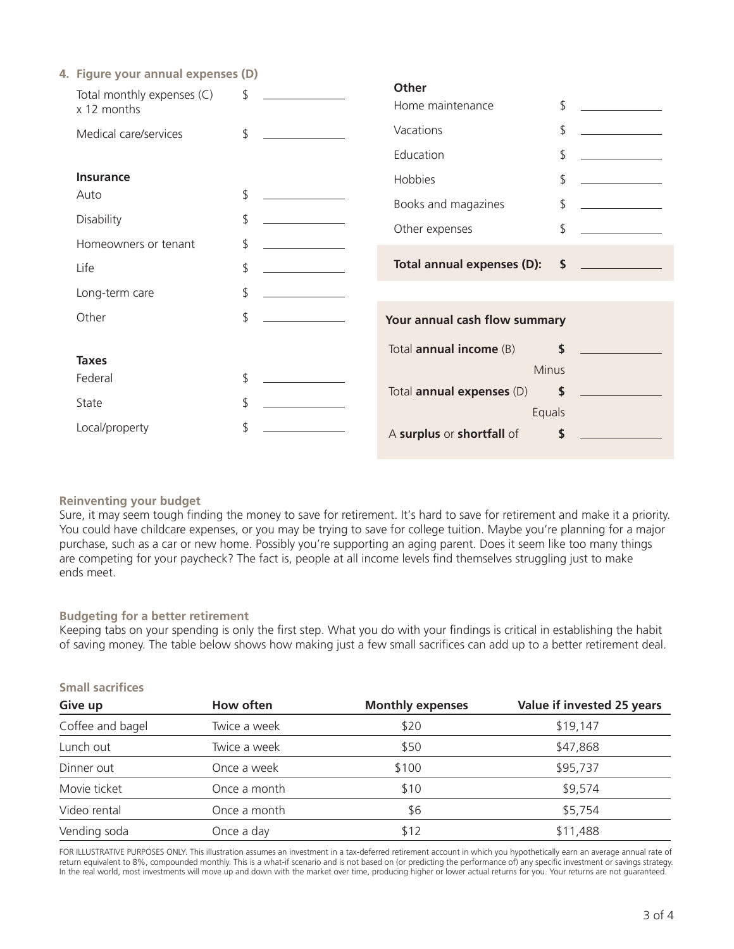| 4. Figure your annual expenses (D)        |                                        |               |                                                   |
|-------------------------------------------|----------------------------------------|---------------|---------------------------------------------------|
| Total monthly expenses (C)<br>x 12 months | \$<br><b>Other</b><br>Home maintenance | \$            |                                                   |
| Medical care/services                     | \$<br>Vacations                        | \$            |                                                   |
|                                           | Education                              | \$            |                                                   |
| <b>Insurance</b>                          | Hobbies                                | \$            |                                                   |
| Auto                                      | \$<br>Books and magazines              | \$            |                                                   |
| <b>Disability</b>                         | \$<br>Other expenses                   | \$            |                                                   |
| Homeowners or tenant                      | \$                                     |               |                                                   |
| Life                                      | \$<br>Total annual expenses (D):       | $\mathsf{\$}$ | <u> 1999 - Johann Barnett, fransk politiker (</u> |
| Long-term care                            | \$                                     |               |                                                   |
| Other                                     | \$<br>Your annual cash flow summary    |               |                                                   |
| <b>Taxes</b>                              | Total <b>annual income</b> (B)         | \$            |                                                   |
| Federal                                   | \$<br>Minus                            |               |                                                   |
| State                                     | \$<br>Total <b>annual expenses</b> (D) | \$            |                                                   |
| Local/property                            | \$<br>Equals                           |               |                                                   |
|                                           | A surplus or shortfall of              | \$            |                                                   |

### **Reinventing your budget**

Sure, it may seem tough finding the money to save for retirement. It's hard to save for retirement and make it a priority. You could have childcare expenses, or you may be trying to save for college tuition. Maybe you're planning for a major purchase, such as a car or new home. Possibly you're supporting an aging parent. Does it seem like too many things are competing for your paycheck? The fact is, people at all income levels find themselves struggling just to make ends meet.

#### **Budgeting for a better retirement**

Keeping tabs on your spending is only the first step. What you do with your findings is critical in establishing the habit of saving money. The table below shows how making just a few small sacrifices can add up to a better retirement deal.

| <b>Small sacrifices</b> |              |                         |                            |  |
|-------------------------|--------------|-------------------------|----------------------------|--|
| Give up                 | How often    | <b>Monthly expenses</b> | Value if invested 25 years |  |
| Coffee and bagel        | Twice a week | \$20                    | \$19,147                   |  |
| Lunch out               | Twice a week | \$50                    | \$47,868                   |  |
| Dinner out              | Once a week  | \$100                   | \$95,737                   |  |
| Movie ticket            | Once a month | \$10                    | \$9,574                    |  |
| Video rental            | Once a month | \$6                     | \$5,754                    |  |
| Vending soda            | Once a day   | \$12                    | \$11,488                   |  |

#### FOR ILLUSTRATIVE PURPOSES ONLY. This illustration assumes an investment in a tax-deferred retirement account in which you hypothetically earn an average annual rate of return equivalent to 8%, compounded monthly. This is a what-if scenario and is not based on (or predicting the performance of) any specific investment or savings strategy. In the real world, most investments will move up and down with the market over time, producing higher or lower actual returns for you. Your returns are not guaranteed.